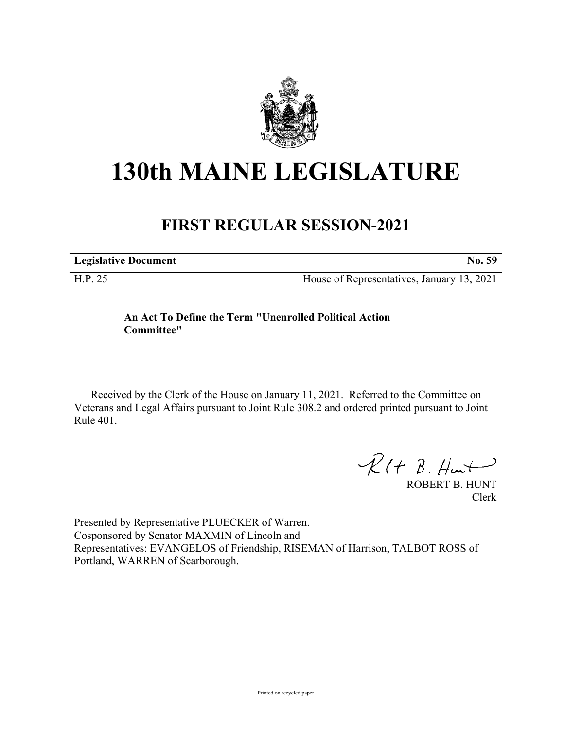

## **130th MAINE LEGISLATURE**

## **FIRST REGULAR SESSION-2021**

**Legislative Document No. 59**

H.P. 25 House of Representatives, January 13, 2021

## **An Act To Define the Term "Unenrolled Political Action Committee"**

Received by the Clerk of the House on January 11, 2021. Referred to the Committee on Veterans and Legal Affairs pursuant to Joint Rule 308.2 and ordered printed pursuant to Joint Rule 401.

 $R(H B. H<sub>un</sub>+)$ 

ROBERT B. HUNT Clerk

Presented by Representative PLUECKER of Warren. Cosponsored by Senator MAXMIN of Lincoln and Representatives: EVANGELOS of Friendship, RISEMAN of Harrison, TALBOT ROSS of Portland, WARREN of Scarborough.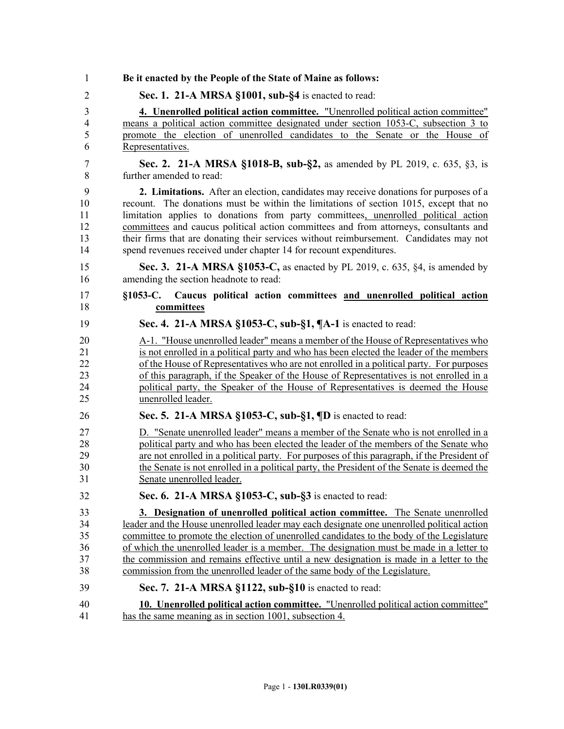| 1                        | Be it enacted by the People of the State of Maine as follows:                                  |
|--------------------------|------------------------------------------------------------------------------------------------|
| $\overline{2}$           | Sec. 1. 21-A MRSA §1001, sub-§4 is enacted to read:                                            |
| $\overline{3}$           | 4. Unenrolled political action committee. "Unenrolled political action committee"              |
| $\overline{\mathcal{A}}$ | means a political action committee designated under section 1053-C, subsection 3 to            |
| 5                        | promote the election of unenrolled candidates to the Senate or the House of                    |
| 6                        | Representatives.                                                                               |
| 7                        | Sec. 2. 21-A MRSA §1018-B, sub-§2, as amended by PL 2019, c. 635, §3, is                       |
| 8                        | further amended to read:                                                                       |
| 9                        | 2. Limitations. After an election, candidates may receive donations for purposes of a          |
| 10                       | recount. The donations must be within the limitations of section 1015, except that no          |
| 11                       | limitation applies to donations from party committees, unenrolled political action             |
| 12                       | committees and caucus political action committees and from attorneys, consultants and          |
| 13                       | their firms that are donating their services without reimbursement. Candidates may not         |
| 14                       | spend revenues received under chapter 14 for recount expenditures.                             |
| 15                       | Sec. 3. 21-A MRSA §1053-C, as enacted by PL 2019, c. 635, §4, is amended by                    |
| 16                       | amending the section headnote to read:                                                         |
| 17<br>18                 | Caucus political action committees and unenrolled political action<br>$$1053-C.$<br>committees |
| 19                       | Sec. 4. 21-A MRSA §1053-C, sub-§1, ¶A-1 is enacted to read:                                    |
| 20                       | A-1. "House unenrolled leader" means a member of the House of Representatives who              |
| 21                       | is not enrolled in a political party and who has been elected the leader of the members        |
| 22                       | of the House of Representatives who are not enrolled in a political party. For purposes        |
| 23                       | of this paragraph, if the Speaker of the House of Representatives is not enrolled in a         |
| 24                       | political party, the Speaker of the House of Representatives is deemed the House               |
| 25                       | unenrolled leader.                                                                             |
| 26                       | Sec. 5. 21-A MRSA §1053-C, sub-§1, $\P$ D is enacted to read:                                  |
| 27                       | D. "Senate unenrolled leader" means a member of the Senate who is not enrolled in a            |
| 28                       | political party and who has been elected the leader of the members of the Senate who           |
| 29                       | are not enrolled in a political party. For purposes of this paragraph, if the President of     |
| 30                       | the Senate is not enrolled in a political party, the President of the Senate is deemed the     |
| 31                       | Senate unenrolled leader.                                                                      |
| 32                       | Sec. 6. 21-A MRSA §1053-C, sub-§3 is enacted to read:                                          |
| 33                       | 3. Designation of unenrolled political action committee. The Senate unenrolled                 |
| 34                       | leader and the House unenrolled leader may each designate one unenrolled political action      |
| 35                       | committee to promote the election of unenrolled candidates to the body of the Legislature      |
| 36                       | of which the unenrolled leader is a member. The designation must be made in a letter to        |
| 37                       | the commission and remains effective until a new designation is made in a letter to the        |
| 38                       | commission from the unenrolled leader of the same body of the Legislature.                     |
| 39                       | Sec. 7. 21-A MRSA §1122, sub-§10 is enacted to read:                                           |
| 40                       | 10. Unenrolled political action committee. "Unenrolled political action committee"             |
| 41                       | has the same meaning as in section 1001, subsection 4.                                         |